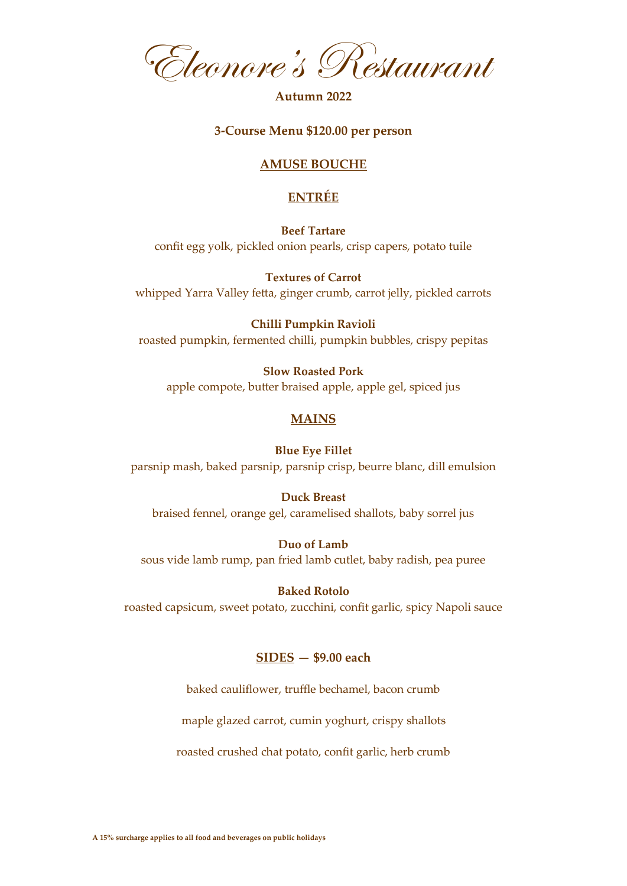Eleonore's Restaurant

## **Autumn 2022**

## **3-Course Menu \$120.00 per person**

# **AMUSE BOUCHE**

# **ENTRÉE**

**Beef Tartare** confit egg yolk, pickled onion pearls, crisp capers, potato tuile

**Textures of Carrot** whipped Yarra Valley fetta, ginger crumb, carrot jelly, pickled carrots

**Chilli Pumpkin Ravioli** roasted pumpkin, fermented chilli, pumpkin bubbles, crispy pepitas

**Slow Roasted Pork** apple compote, butter braised apple, apple gel, spiced jus

# **MAINS**

#### **Blue Eye Fillet**

parsnip mash, baked parsnip, parsnip crisp, beurre blanc, dill emulsion

## **Duck Breast**

braised fennel, orange gel, caramelised shallots, baby sorrel jus

#### **Duo of Lamb**

sous vide lamb rump, pan fried lamb cutlet, baby radish, pea puree

#### **Baked Rotolo**

roasted capsicum, sweet potato, zucchini, confit garlic, spicy Napoli sauce

## **SIDES — \$9.00 each**

baked cauliflower, truffle bechamel, bacon crumb

maple glazed carrot, cumin yoghurt, crispy shallots

roasted crushed chat potato, confit garlic, herb crumb